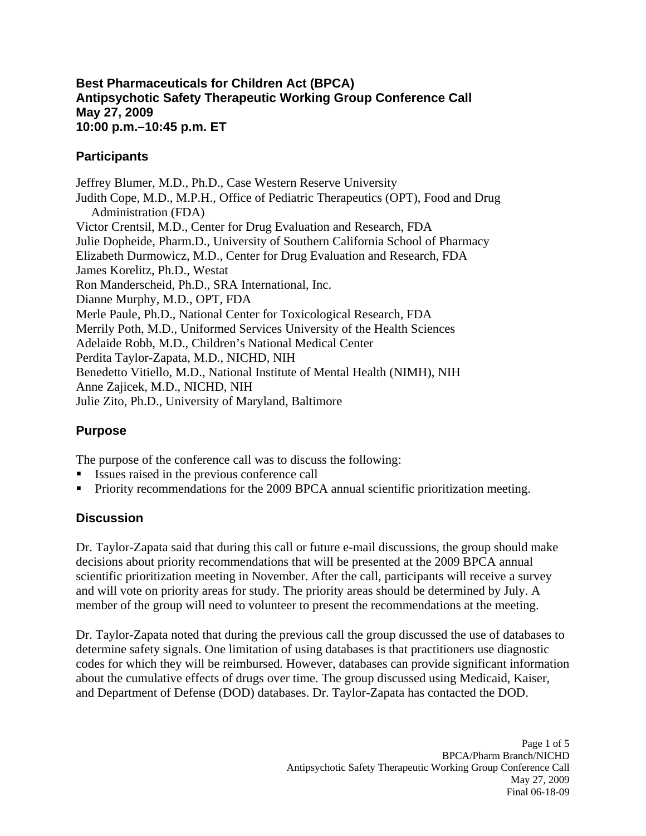#### **Best Pharmaceuticals for Children Act (BPCA) Antipsychotic Safety Therapeutic Working Group Conference Call May 27, 2009 10:00 p.m.–10:45 p.m. ET**

### **Participants**

Jeffrey Blumer, M.D., Ph.D., Case Western Reserve University Judith Cope, M.D., M.P.H., Office of Pediatric Therapeutics (OPT), Food and Drug Administration (FDA) Victor Crentsil, M.D., Center for Drug Evaluation and Research, FDA Julie Dopheide, Pharm.D., University of Southern California School of Pharmacy Elizabeth Durmowicz, M.D., Center for Drug Evaluation and Research, FDA James Korelitz, Ph.D., Westat Ron Manderscheid, Ph.D., SRA International, Inc. Dianne Murphy, M.D., OPT, FDA Merle Paule, Ph.D., National Center for Toxicological Research, FDA Merrily Poth, M.D., Uniformed Services University of the Health Sciences Adelaide Robb, M.D., Children's National Medical Center Perdita Taylor-Zapata, M.D., NICHD, NIH Benedetto Vitiello, M.D., National Institute of Mental Health (NIMH), NIH Anne Zajicek, M.D., NICHD, NIH Julie Zito, Ph.D., University of Maryland, Baltimore

# **Purpose**

The purpose of the conference call was to discuss the following:

- Issues raised in the previous conference call
- Priority recommendations for the 2009 BPCA annual scientific prioritization meeting.

### **Discussion**

Dr. Taylor-Zapata said that during this call or future e-mail discussions, the group should make decisions about priority recommendations that will be presented at the 2009 BPCA annual scientific prioritization meeting in November. After the call, participants will receive a survey and will vote on priority areas for study. The priority areas should be determined by July. A member of the group will need to volunteer to present the recommendations at the meeting.

Dr. Taylor-Zapata noted that during the previous call the group discussed the use of databases to determine safety signals. One limitation of using databases is that practitioners use diagnostic codes for which they will be reimbursed. However, databases can provide significant information about the cumulative effects of drugs over time. The group discussed using Medicaid, Kaiser, and Department of Defense (DOD) databases. Dr. Taylor-Zapata has contacted the DOD.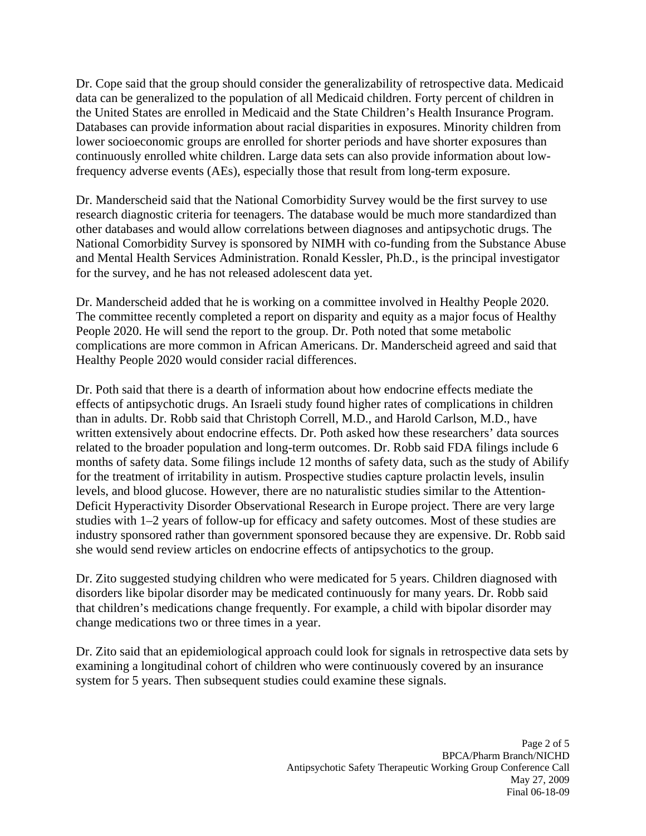Dr. Cope said that the group should consider the generalizability of retrospective data. Medicaid data can be generalized to the population of all Medicaid children. Forty percent of children in the United States are enrolled in Medicaid and the State Children's Health Insurance Program. Databases can provide information about racial disparities in exposures. Minority children from lower socioeconomic groups are enrolled for shorter periods and have shorter exposures than continuously enrolled white children. Large data sets can also provide information about lowfrequency adverse events (AEs), especially those that result from long-term exposure.

Dr. Manderscheid said that the National Comorbidity Survey would be the first survey to use research diagnostic criteria for teenagers. The database would be much more standardized than other databases and would allow correlations between diagnoses and antipsychotic drugs. The National Comorbidity Survey is sponsored by NIMH with co-funding from the Substance Abuse and Mental Health Services Administration. Ronald Kessler, Ph.D., is the principal investigator for the survey, and he has not released adolescent data yet.

Dr. Manderscheid added that he is working on a committee involved in Healthy People 2020. The committee recently completed a report on disparity and equity as a major focus of Healthy People 2020. He will send the report to the group. Dr. Poth noted that some metabolic complications are more common in African Americans. Dr. Manderscheid agreed and said that Healthy People 2020 would consider racial differences.

Dr. Poth said that there is a dearth of information about how endocrine effects mediate the effects of antipsychotic drugs. An Israeli study found higher rates of complications in children than in adults. Dr. Robb said that Christoph Correll, M.D., and Harold Carlson, M.D., have written extensively about endocrine effects. Dr. Poth asked how these researchers' data sources related to the broader population and long-term outcomes. Dr. Robb said FDA filings include 6 months of safety data. Some filings include 12 months of safety data, such as the study of Abilify for the treatment of irritability in autism. Prospective studies capture prolactin levels, insulin levels, and blood glucose. However, there are no naturalistic studies similar to the Attention-Deficit Hyperactivity Disorder Observational Research in Europe project. There are very large studies with 1–2 years of follow-up for efficacy and safety outcomes. Most of these studies are industry sponsored rather than government sponsored because they are expensive. Dr. Robb said she would send review articles on endocrine effects of antipsychotics to the group.

Dr. Zito suggested studying children who were medicated for 5 years. Children diagnosed with disorders like bipolar disorder may be medicated continuously for many years. Dr. Robb said that children's medications change frequently. For example, a child with bipolar disorder may change medications two or three times in a year.

Dr. Zito said that an epidemiological approach could look for signals in retrospective data sets by examining a longitudinal cohort of children who were continuously covered by an insurance system for 5 years. Then subsequent studies could examine these signals.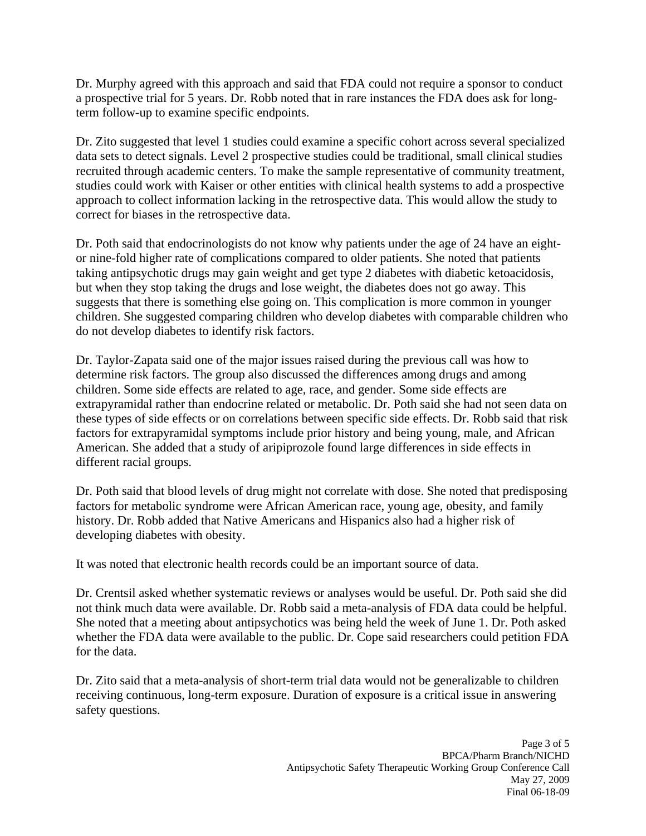Dr. Murphy agreed with this approach and said that FDA could not require a sponsor to conduct a prospective trial for 5 years. Dr. Robb noted that in rare instances the FDA does ask for longterm follow-up to examine specific endpoints.

Dr. Zito suggested that level 1 studies could examine a specific cohort across several specialized data sets to detect signals. Level 2 prospective studies could be traditional, small clinical studies recruited through academic centers. To make the sample representative of community treatment, studies could work with Kaiser or other entities with clinical health systems to add a prospective approach to collect information lacking in the retrospective data. This would allow the study to correct for biases in the retrospective data.

Dr. Poth said that endocrinologists do not know why patients under the age of 24 have an eightor nine-fold higher rate of complications compared to older patients. She noted that patients taking antipsychotic drugs may gain weight and get type 2 diabetes with diabetic ketoacidosis, but when they stop taking the drugs and lose weight, the diabetes does not go away. This suggests that there is something else going on. This complication is more common in younger children. She suggested comparing children who develop diabetes with comparable children who do not develop diabetes to identify risk factors.

Dr. Taylor-Zapata said one of the major issues raised during the previous call was how to determine risk factors. The group also discussed the differences among drugs and among children. Some side effects are related to age, race, and gender. Some side effects are extrapyramidal rather than endocrine related or metabolic. Dr. Poth said she had not seen data on these types of side effects or on correlations between specific side effects. Dr. Robb said that risk factors for extrapyramidal symptoms include prior history and being young, male, and African American. She added that a study of aripiprozole found large differences in side effects in different racial groups.

Dr. Poth said that blood levels of drug might not correlate with dose. She noted that predisposing factors for metabolic syndrome were African American race, young age, obesity, and family history. Dr. Robb added that Native Americans and Hispanics also had a higher risk of developing diabetes with obesity.

It was noted that electronic health records could be an important source of data.

Dr. Crentsil asked whether systematic reviews or analyses would be useful. Dr. Poth said she did not think much data were available. Dr. Robb said a meta-analysis of FDA data could be helpful. She noted that a meeting about antipsychotics was being held the week of June 1. Dr. Poth asked whether the FDA data were available to the public. Dr. Cope said researchers could petition FDA for the data.

Dr. Zito said that a meta-analysis of short-term trial data would not be generalizable to children receiving continuous, long-term exposure. Duration of exposure is a critical issue in answering safety questions.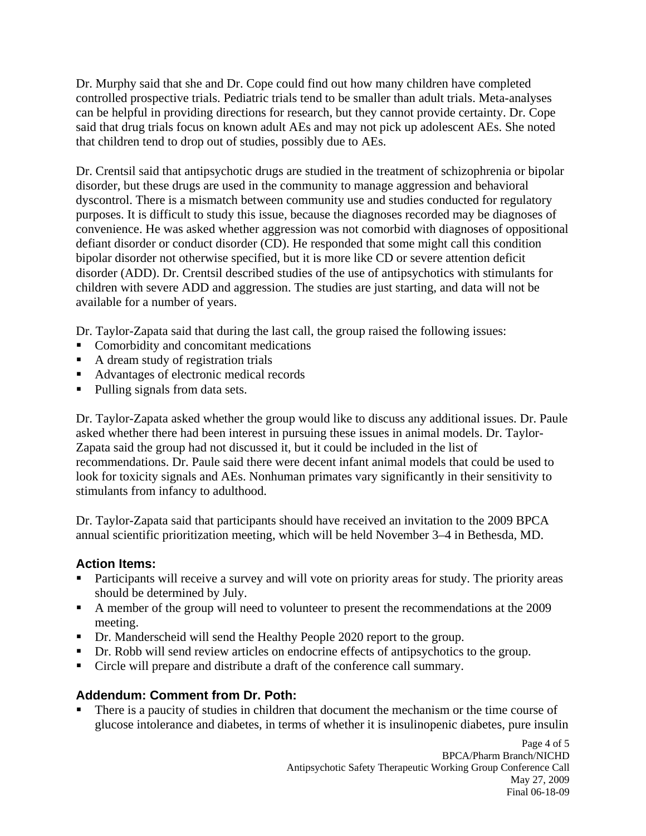Dr. Murphy said that she and Dr. Cope could find out how many children have completed controlled prospective trials. Pediatric trials tend to be smaller than adult trials. Meta-analyses can be helpful in providing directions for research, but they cannot provide certainty. Dr. Cope said that drug trials focus on known adult AEs and may not pick up adolescent AEs. She noted that children tend to drop out of studies, possibly due to AEs.

Dr. Crentsil said that antipsychotic drugs are studied in the treatment of schizophrenia or bipolar disorder, but these drugs are used in the community to manage aggression and behavioral dyscontrol. There is a mismatch between community use and studies conducted for regulatory purposes. It is difficult to study this issue, because the diagnoses recorded may be diagnoses of convenience. He was asked whether aggression was not comorbid with diagnoses of oppositional defiant disorder or conduct disorder (CD). He responded that some might call this condition bipolar disorder not otherwise specified, but it is more like CD or severe attention deficit disorder (ADD). Dr. Crentsil described studies of the use of antipsychotics with stimulants for children with severe ADD and aggression. The studies are just starting, and data will not be available for a number of years.

Dr. Taylor-Zapata said that during the last call, the group raised the following issues:

- Comorbidity and concomitant medications
- A dream study of registration trials
- Advantages of electronic medical records
- Pulling signals from data sets.

Dr. Taylor-Zapata asked whether the group would like to discuss any additional issues. Dr. Paule asked whether there had been interest in pursuing these issues in animal models. Dr. Taylor-Zapata said the group had not discussed it, but it could be included in the list of recommendations. Dr. Paule said there were decent infant animal models that could be used to look for toxicity signals and AEs. Nonhuman primates vary significantly in their sensitivity to stimulants from infancy to adulthood.

Dr. Taylor-Zapata said that participants should have received an invitation to the 2009 BPCA annual scientific prioritization meeting, which will be held November 3–4 in Bethesda, MD.

# **Action Items:**

- Participants will receive a survey and will vote on priority areas for study. The priority areas should be determined by July.
- A member of the group will need to volunteer to present the recommendations at the 2009 meeting.
- Dr. Manderscheid will send the Healthy People 2020 report to the group.
- Dr. Robb will send review articles on endocrine effects of antipsychotics to the group.
- Circle will prepare and distribute a draft of the conference call summary.

# **Addendum: Comment from Dr. Poth:**

 There is a paucity of studies in children that document the mechanism or the time course of glucose intolerance and diabetes, in terms of whether it is insulinopenic diabetes, pure insulin